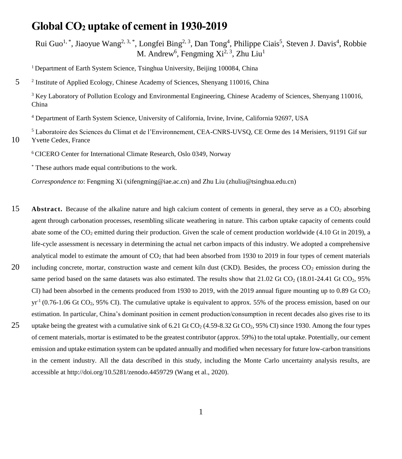# **Global CO<sup>2</sup> uptake of cement in 1930-2019**

Rui Guo<sup>1,\*</sup>, Jiaoyue Wang<sup>2, 3,\*</sup>, Longfei Bing<sup>2, 3</sup>, Dan Tong<sup>4</sup>, Philippe Ciais<sup>5</sup>, Steven J. Davis<sup>4</sup>, Robbie M. Andrew<sup>6</sup>, Fengming  $Xi^{2,3}$ , Zhu Liu<sup>1</sup>

<sup>1</sup> Department of Earth System Science, Tsinghua University, Beijing 100084, China

<sup>2</sup> 5 Institute of Applied Ecology, Chinese Academy of Sciences, Shenyang 110016, China

<sup>3</sup> Key Laboratory of Pollution Ecology and Environmental Engineering, Chinese Academy of Sciences, Shenyang 110016, China

<sup>4</sup> Department of Earth System Science, University of California, Irvine, Irvine, California 92697, USA

<sup>5</sup> Laboratoire des Sciences du Climat et de l'Environnement, CEA-CNRS-UVSQ, CE Orme des 14 Merisiers, 91191 Gif sur 10 Yvette Cedex, France

<sup>6</sup>CICERO Center for International Climate Research, Oslo 0349, Norway

\* These authors made equal contributions to the work.

*Correspondence to*: Fengming Xi (xifengming@iae.ac.cn) and Zhu Liu (zhuliu@tsinghua.edu.cn)

15 **Abstract.** Because of the alkaline nature and high calcium content of cements in general, they serve as a CO<sub>2</sub> absorbing agent through carbonation processes, resembling silicate weathering in nature. This carbon uptake capacity of cements could abate some of the  $CO<sub>2</sub>$  emitted during their production. Given the scale of cement production worldwide (4.10 Gt in 2019), a life-cycle assessment is necessary in determining the actual net carbon impacts of this industry. We adopted a comprehensive analytical model to estimate the amount of  $CO<sub>2</sub>$  that had been absorbed from 1930 to 2019 in four types of cement materials 20 including concrete, mortar, construction waste and cement kiln dust (CKD). Besides, the process  $CO<sub>2</sub>$  emission during the same period based on the same datasets was also estimated. The results show that  $21.02$  Gt CO<sub>2</sub> (18.01-24.41 Gt CO<sub>2</sub>, 95% CI) had been absorbed in the cements produced from 1930 to 2019, with the 2019 annual figure mounting up to 0.89 Gt  $CO<sub>2</sub>$  $yr<sup>-1</sup>$  (0.76-1.06 Gt CO<sub>2</sub>, 95% CI). The cumulative uptake is equivalent to approx. 55% of the process emission, based on our estimation. In particular, China's dominant position in cement production/consumption in recent decades also gives rise to its 25 uptake being the greatest with a cumulative sink of  $6.21$  Gt CO<sub>2</sub> (4.59-8.32 Gt CO<sub>2</sub>, 95% CI) since 1930. Among the four types of cement materials, mortar is estimated to be the greatest contributor (approx. 59%) to the total uptake. Potentially, our cement emission and uptake estimation system can be updated annually and modified when necessary for future low-carbon transitions in the cement industry. All the data described in this study, including the Monte Carlo uncertainty analysis results, are accessible at http://doi.org/10.5281/zenodo.4459729 (Wang et al., 2020).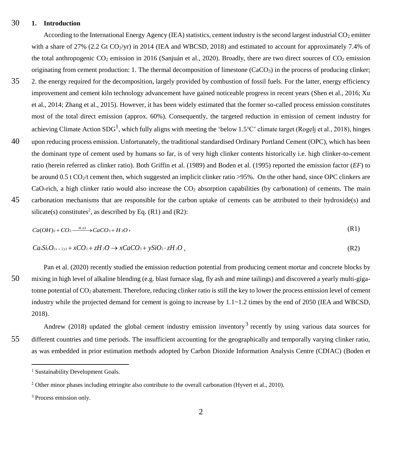# 30 **1. Introduction**

According to the International Energy Agency (IEA) statistics, cement industry is the second largest industrial  $CO<sub>2</sub>$  emitter with a share of 27% (2.2 Gt  $CO_2$ /yr) in 2014 (IEA and WBCSD, 2018) and estimated to account for approximately 7.4% of the total anthropogenic  $CO_2$  emission in 2016 (Sanjuán et al., 2020). Broadly, there are two direct sources of  $CO_2$  emission originating from cement production: 1. The thermal decomposition of limestone  $(CaCO<sub>3</sub>)$  in the process of producing clinker;

- 35 2. the energy required for the decomposition, largely provided by combustion of fossil fuels. For the latter, energy efficiency improvement and cement kiln technology advancement have gained noticeable progress in recent years (Shen et al., 2016; Xu et al., 2014; Zhang et al., 2015). However, it has been widely estimated that the former so-called process emission constitutes most of the total direct emission (approx. 60%). Consequently, the targeted reduction in emission of cement industry for achieving Climate Action SDG<sup>1</sup>, which fully aligns with meeting the 'below 1.5℃' climate target (Rogelj et al., 2018), hinges
- 40 upon reducing process emission. Unfortunately, the traditional standardised Ordinary Portland Cement (OPC), which has been the dominant type of cement used by humans so far, is of very high clinker contents historically i.e. high clinker-to-cement ratio (herein referred as clinker ratio). Both Griffin et al. (1989) and Boden et al. (1995) reported the emission factor (*EF*) to be around 0.5 t CO<sub>2</sub>/t cement then, which suggested an implicit clinker ratio  $>95\%$ . On the other hand, since OPC clinkers are CaO-rich, a high clinker ratio would also increase the  $CO<sub>2</sub>$  absorption capabilities (by carbonation) of cements. The main 45 carbonation mechanisms that are responsible for the carbon uptake of cements can be attributed to their hydroxide(s) and
- silicate(s) constitutes<sup>2</sup>, as described by Eq.  $(R1)$  and  $(R2)$ :

$$
Ca(OH)_2 + CO_2 \xrightarrow{H_2O} CaCO_3 + H_2O,
$$
 (R1)

$$
Ca.Si2(x + 2y) + xCO2 + zH2O \to xCaCO3 + ySiO2 \cdot zH2O ,
$$
 (R2)

Pan et al. (2020) recently studied the emission reduction potential from producing cement mortar and concrete blocks by 50 mixing in high level of alkaline blending (e.g. blast furnace slag, fly ash and mine tailings) and discovered a yearly multi-gigatonne potential of  $CO<sub>2</sub>$  abatement. Therefore, reducing clinker ratio is still the key to lower the process emission level of cement industry while the projected demand for cement is going to increase by  $1.1 \sim 1.2$  times by the end of 2050 (IEA and WBCSD, 2018).

Andrew (2018) updated the global cement industry emission inventory<sup>3</sup> recently by using various data sources for 55 different countries and time periods. The insufficient accounting for the geographically and temporally varying clinker ratio, as was embedded in prior estimation methods adopted by Carbon Dioxide Information Analysis Centre (CDIAC) (Boden et

<sup>&</sup>lt;sup>1</sup> Sustainability Development Goals.

<sup>&</sup>lt;sup>2</sup> Other minor phases including ettringite also contribute to the overall carbonation (Hyvert et al., 2010).

<sup>3</sup> Process emission only.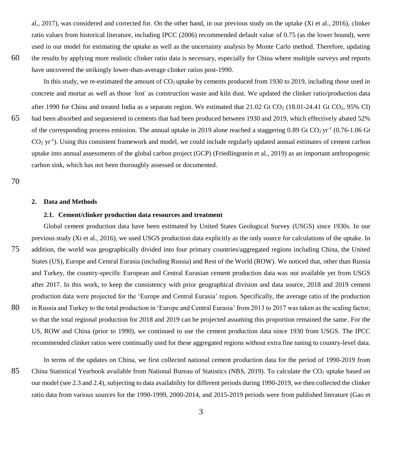al., 2017), was considered and corrected for. On the other hand, in our previous study on the uptake (Xi et al., 2016), clinker ratio values from historical literature, including IPCC (2006) recommended default value of 0.75 (as the lower bound), were used in our model for estimating the uptake as well as the uncertainty analysis by Monte Carlo method. Therefore, updating 60 the results by applying more realistic clinker ratio data is necessary, especially for China where multiple surveys and reports have uncovered the strikingly lower-than-average clinker ratios post-1990.

In this study, we re-estimated the amount of  $CO<sub>2</sub>$  uptake by cements produced from 1930 to 2019, including those used in concrete and mortar as well as those 'lost' as construction waste and kiln dust. We updated the clinker ratio/production data after 1990 for China and treated India as a separate region. We estimated that  $21.02$  Gt CO<sub>2</sub> (18.01-24.41 Gt CO<sub>2</sub>, 95% CI) 65 had been absorbed and sequestered in cements that had been produced between 1930 and 2019, which effectively abated 52% of the corresponding process emission. The annual uptake in 2019 alone reached a staggering  $0.89$  Gt CO<sub>2</sub> yr<sup>-1</sup> (0.76-1.06 Gt CO<sub>2</sub> yr<sup>-1</sup>). Using this consistent framework and model, we could include regularly updated annual estimates of cement carbon uptake into annual assessments of the global carbon project (GCP) (Friedlingstein et al., 2019) as an important anthropogenic carbon sink, which has not been thoroughly assessed or documented.

70

#### **2. Data and Methods**

#### **2.1. Cement/clinker production data resources and treatment**

Global cement production data have been estimated by United States Geological Survey (USGS) since 1930s. In our previous study (Xi et al., 2016), we used USGS production data explicitly as the only source for calculations of the uptake. In 75 addition, the world was geographically divided into four primary countries/aggregated regions including China, the United States (US), Europe and Central Eurasia (including Russia) and Rest of the World (ROW). We noticed that, other than Russia and Turkey, the country-specific European and Central Eurasian cement production data was not available yet from USGS after 2017. In this work, to keep the consistency with prior geographical division and data source, 2018 and 2019 cement production data were projected for the 'Europe and Central Eurasia' region. Specifically, the average ratio of the production 80 in Russia and Turkey to the total production in 'Europe and Central Eurasia' from 2013 to 2017 was taken as the scaling factor, so that the total regional production for 2018 and 2019 can be projected assuming this proportion remained the same. For the US, ROW and China (prior to 1990), we continued to use the cement production data since 1930 from USGS. The IPCC recommended clinker ratios were continually used for these aggregated regions without extra fine tuning to country-level data.

In terms of the updates on China, we first collected national cement production data for the period of 1990-2019 from 85 China Statistical Yearbook available from National Bureau of Statistics (NBS, 2019). To calculate the  $CO<sub>2</sub>$  uptake based on our model (se[e 2.3](#page-4-0) an[d 2.4\)](#page-9-0), subjecting to data availability for different periods during 1990-2019, we then collected the clinker ratio data from various sources for the 1990-1999, 2000-2014, and 2015-2019 periods were from published literature (Gao et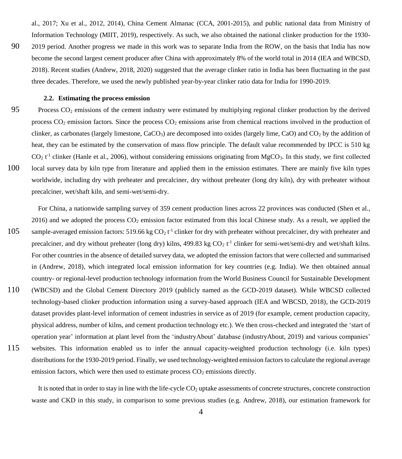al., 2017; Xu et al., 2012, 2014), China Cement Almanac (CCA, 2001-2015), and public national data from Ministry of Information Technology (MIIT, 2019), respectively. As such, we also obtained the national clinker production for the 1930-

90 2019 period. Another progress we made in this work was to separate India from the ROW, on the basis that India has now become the second largest cement producer after China with approximately 8% of the world total in 2014 (IEA and WBCSD, 2018). Recent studies (Andrew, 2018, 2020) suggested that the average clinker ratio in India has been fluctuating in the past three decades. Therefore, we used the newly published year-by-year clinker ratio data for India for 1990-2019.

### <span id="page-3-0"></span>**2.2. Estimating the process emission**

95 Process  $CO<sub>2</sub>$  emissions of the cement industry were estimated by multiplying regional clinker production by the derived process  $CO<sub>2</sub>$  emission factors. Since the process  $CO<sub>2</sub>$  emissions arise from chemical reactions involved in the production of clinker, as carbonates (largely limestone,  $CaCO<sub>3</sub>$ ) are decomposed into oxides (largely lime, CaO) and  $CO<sub>2</sub>$  by the addition of heat, they can be estimated by the conservation of mass flow principle. The default value recommended by IPCC is 510 kg  $CO<sub>2</sub> t<sup>1</sup>$  clinker (Hanle et al., 2006), without considering emissions originating from MgCO<sub>3</sub>. In this study, we first collected 100 local survey data by kiln type from literature and applied them in the emission estimates. There are mainly five kiln types worldwide, including dry with preheater and precalciner, dry without preheater (long dry kiln), dry with preheater without precalciner, wet/shaft kiln, and semi-wet/semi-dry.

For China, a nationwide sampling survey of 359 cement production lines across 22 provinces was conducted (Shen et al., 2016) and we adopted the process  $CO_2$  emission factor estimated from this local Chinese study. As a result, we applied the 105 sample-averaged emission factors: 519.66 kg  $CO_2 t^1$  clinker for dry with preheater without precalciner, dry with preheater and precalciner, and dry without preheater (long dry) kilns, 499.83 kg  $CO_2 t<sup>-1</sup>$  clinker for semi-wet/semi-dry and wet/shaft kilns. For other countries in the absence of detailed survey data, we adopted the emission factors that were collected and summarised in (Andrew, 2018), which integrated local emission information for key countries (e.g. India). We then obtained annual country- or regional-level production technology information from the World Business Council for Sustainable Development 110 (WBCSD) and the Global Cement Directory 2019 (publicly named as the GCD-2019 dataset). While WBCSD collected technology-based clinker production information using a survey-based approach (IEA and WBCSD, 2018), the GCD-2019 dataset provides plant-level information of cement industries in service as of 2019 (for example, cement production capacity, physical address, number of kilns, and cement production technology etc.). We then cross-checked and integrated the 'start of operation year' information at plant level from the 'industryAbout' database (industryAbout, 2019) and various companies' 115 websites. This information enabled us to infer the annual capacity-weighted production technology (i.e. kiln types) distributions for the 1930-2019 period. Finally, we used technology-weighted emission factors to calculate the regional average emission factors, which were then used to estimate process  $CO<sub>2</sub>$  emissions directly.

It is noted that in order to stay in line with the life-cycle  $CO<sub>2</sub>$  uptake assessments of concrete structures, concrete construction waste and CKD in this study, in comparison to some previous studies (e.g. Andrew, 2018), our estimation framework for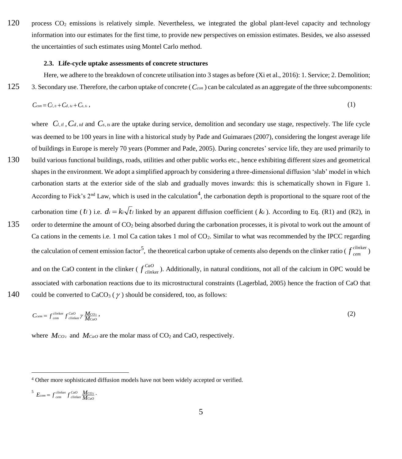120 process CO<sup>2</sup> emissions is relatively simple. Nevertheless, we integrated the global plant-level capacity and technology information into our estimates for the first time, to provide new perspectives on emission estimates. Besides, we also assessed the uncertainties of such estimates using Montel Carlo method.

#### <span id="page-4-0"></span>**2.3. Life-cycle uptake assessments of concrete structures**

Here, we adhere to the breakdown of concrete utilisation into 3 stages as before (Xi et al., 2016): 1. Service; 2. Demolition; 125 3. Secondary use. Therefore, the carbon uptake of concrete ( *Ccon* ) can be calculated as an aggregate of the three subcomponents:

$$
C_{con} = C_{l,n} + C_{d,u} + C_{s,t}, \qquad (1)
$$

where  $C_{l, t}$ ,  $C_{d, t}$  and  $C_{s, t}$  are the uptake during service, demolition and secondary use stage, respectively. The life cycle was deemed to be 100 years in line with a historical study by Pade and Guimaraes (2007), considering the longest average life of buildings in Europe is merely 70 years (Pommer and Pade, 2005). During concretes' service life, they are used primarily to 130 build various functional buildings, roads, utilities and other public works etc., hence exhibiting different sizes and geometrical shapes in the environment. We adopt a simplified approach by considering a three-dimensional diffusion 'slab' model in which carbonation starts at the exterior side of the slab and gradually moves inwards: this is schematically shown in [Figure 1.](#page-5-0) According to Fick's  $2^{nd}$  Law, which is used in the calculation<sup>4</sup>, the carbonation depth is proportional to the square root of the carbonation time ( $t$ *l*) i.e.  $di = k_i \sqrt{t}$  linked by an apparent diffusion coefficient ( $k_i$ ). According to Eq. (R1) and (R2), in 135 order to determine the amount of  $CO<sub>2</sub>$  being absorbed during the carbonation processes, it is pivotal to work out the amount of Ca cations in the cements i.e. 1 mol Ca cation takes 1 mol of CO<sub>2</sub>. Similar to what was recommended by the IPCC regarding the calculation of cement emission factor<sup>5</sup>, the theoretical carbon uptake of cements also depends on the clinker ratio ( $f_{cen}^{clim}$ *cem* ker ) and on the CaO content in the clinker ( $f_{clm}^{CaO}$ *clin*ker ). Additionally, in natural conditions, not all of the calcium in OPC would be associated with carbonation reactions due to its microstructural constraints (Lagerblad, 2005) hence the fraction of CaO that 140 could be converted to CaCO<sub>3</sub> ( $\gamma$ ) should be considered, too, as follows:

 $\overline{a}$ 

$$
C_{\text{cem}} = f_{\text{cem}}^{\text{clinker}} f_{\text{clinker}}^{\text{CaO}} \gamma \frac{M_{\text{CO}_2}}{M_{\text{CaO}}},\tag{2}
$$

where  $M_{CO_2}$  and  $M_{CaO}$  are the molar mass of  $CO_2$  and CaO, respectively.

$$
{}^{5}E_{cem} = f_{cem}^{clinker} f_{clinker}^{CoO} \frac{M_{CO2}}{M_{CaO}}.
$$

<sup>4</sup> Other more sophisticated diffusion models have not been widely accepted or verified.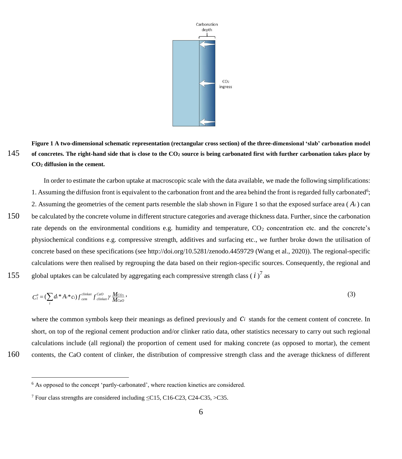

<span id="page-5-0"></span>**Figure 1 A two-dimensional schematic representation (rectangular cross section) of the three-dimensional 'slab' carbonation model**  145 **of concretes. The right-hand side that is close to the CO<sup>2</sup> source is being carbonated first with further carbonation takes place by CO<sup>2</sup> diffusion in the cement.**

In order to estimate the carbon uptake at macroscopic scale with the data available, we made the following simplifications: 1. Assuming the diffusion front is equivalent to the carbonation front and the area behind the front is regarded fully carbonated<sup>6</sup>; 2. Assuming the geometries of the cement parts resemble the slab shown i[n Figure 1](#page-5-0) so that the exposed surface area  $(A_i)$  can 150 be calculated by the concrete volume in different structure categories and average thickness data. Further, since the carbonation rate depends on the environmental conditions e.g. humidity and temperature,  $CO<sub>2</sub>$  concentration etc. and the concrete's physiochemical conditions e.g. compressive strength, additives and surfacing etc., we further broke down the utilisation of concrete based on these specifications (see http://doi.org/10.5281/zenodo.4459729 (Wang et al., 2020)). The regional-specific calculations were then realised by regrouping the data based on their region-specific sources. Consequently, the regional and 155 global uptakes can be calculated by aggregating each compressive strength class  $(i)^7$  as

$$
C_l'' = (\sum d_i * A_i * c_i) f_{\text{cem}}^{\text{clinker}} f_{\text{clinker}}^{\text{CaO}} / \frac{M_{\text{CO}_2}}{M_{\text{CaO}}},\tag{3}
$$

where the common symbols keep their meanings as defined previously and  $Ci$  stands for the cement content of concrete. In short, on top of the regional cement production and/or clinker ratio data, other statistics necessary to carry out such regional calculations include (all regional) the proportion of cement used for making concrete (as opposed to mortar), the cement 160 contents, the CaO content of clinker, the distribution of compressive strength class and the average thickness of different

<sup>&</sup>lt;sup>6</sup> As opposed to the concept 'partly-carbonated', where reaction kinetics are considered.

<sup>7</sup> Four class strengths are considered including ≤C15, C16-C23, C24-C35, >C35.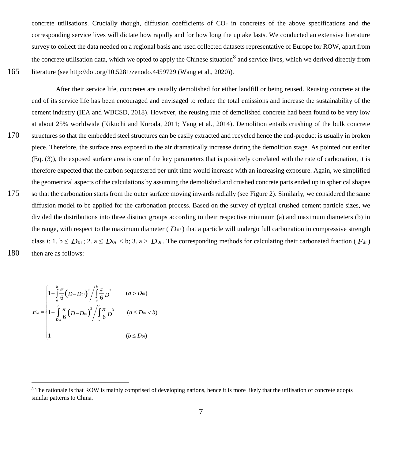concrete utilisations. Crucially though, diffusion coefficients of  $CO<sub>2</sub>$  in concretes of the above specifications and the corresponding service lives will dictate how rapidly and for how long the uptake lasts. We conducted an extensive literature survey to collect the data needed on a regional basis and used collected datasets representative of Europe for ROW, apart from the concrete utilisation data, which we opted to apply the Chinese situation<sup>8</sup> and service lives, which we derived directly from 165 literature (see http://doi.org/10.5281/zenodo.4459729 (Wang et al., 2020)).

After their service life, concretes are usually demolished for either landfill or being reused. Reusing concrete at the end of its service life has been encouraged and envisaged to reduce the total emissions and increase the sustainability of the cement industry (IEA and WBCSD, 2018). However, the reusing rate of demolished concrete had been found to be very low at about 25% worldwide (Kikuchi and Kuroda, 2011; Yang et al., 2014). Demolition entails crushing of the bulk concrete 170 structures so that the embedded steel structures can be easily extracted and recycled hence the end-product is usually in broken piece. Therefore, the surface area exposed to the air dramatically increase during the demolition stage. As pointed out earlier (Eq. (3)), the exposed surface area is one of the key parameters that is positively correlated with the rate of carbonation, it is therefore expected that the carbon sequestered per unit time would increase with an increasing exposure. Again, we simplified the geometrical aspects of the calculations by assuming the demolished and crushed concrete parts ended up in spherical shapes 175 so that the carbonation starts from the outer surface moving inwards radially (see [Figure 2\)](#page-7-0). Similarly, we considered the same diffusion model to be applied for the carbonation process. Based on the survey of typical crushed cement particle sizes, we divided the distributions into three distinct groups according to their respective minimum (a) and maximum diameters (b) in the range, with respect to the maximum diameter ( $D_{0i}$ ) that a particle will undergo full carbonation in compressive strength class *i*: 1.  $b \leq D_{0i}$ ; 2.  $a \leq D_{0i} < b$ ; 3.  $a > D_{0i}$ . The corresponding methods for calculating their carbonated fraction ( $F_{di}$ ) 180 then are as follows:

$$
F_{di} = \begin{cases} 1 - \int_{a}^{b} \frac{\pi}{6} (D - D_{0i})^{3} / \int_{a}^{b} \frac{\pi}{6} D^{3} & (a > D_{0i}) \\ 1 - \int_{D_{0i}}^{b} \frac{\pi}{6} (D - D_{0i})^{3} / \int_{a}^{b} \frac{\pi}{6} D^{3} & (a \le D_{0i} < b) \\ 1 & (b \le D_{0i}) \end{cases}
$$

<sup>&</sup>lt;sup>8</sup> The rationale is that ROW is mainly comprised of developing nations, hence it is more likely that the utilisation of concrete adopts similar patterns to China.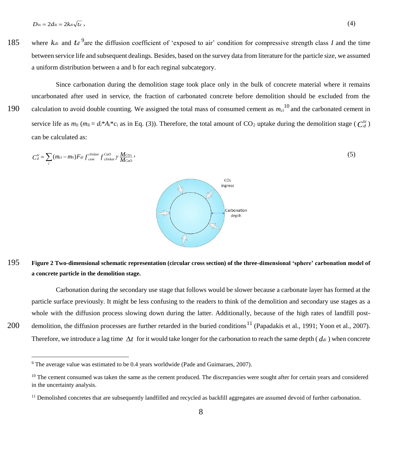185 where  $k_{di}$  and  $t_d$ <sup>9</sup> are the diffusion coefficient of 'exposed to air' condition for compressive strength class *I* and the time between service life and subsequent dealings. Besides, based on the survey data from literature for the particle size, we assumed a uniform distribution between a and b for each reginal subcategory.

Since carbonation during the demolition stage took place only in the bulk of concrete material where it remains uncarbonated after used in service, the fraction of carbonated concrete before demolition should be excluded from the 190 calculation to avoid double counting. We assigned the total mass of consumed cement as  $m_{ci}^{10}$  and the carbonated cement in service life as  $m_{li} (m_{li} = d_i * A_i * c_i$  as in Eq. (3)). Therefore, the total amount of CO<sub>2</sub> uptake during the demolition stage ( $C_d^{ld}$ ) can be calculated as:

$$
C_d^{t_d} = \sum (m_{ci} - m_{li}) F_{di} f_{cem}^{clinker} f_{clinker}^{GaO} \gamma \frac{M_{CO2}}{M_{CaO}},
$$
\n(5)

# <span id="page-7-0"></span>195 **Figure 2 Two-dimensional schematic representation (circular cross section) of the three-dimensional 'sphere' carbonation model of a concrete particle in the demolition stage.**

Carbonation during the secondary use stage that follows would be slower because a carbonate layer has formed at the particle surface previously. It might be less confusing to the readers to think of the demolition and secondary use stages as a whole with the diffusion process slowing down during the latter. Additionally, because of the high rates of landfill post-200 demolition, the diffusion processes are further retarded in the buried conditions<sup>11</sup> (Papadakis et al., 1991; Yoon et al., 2007). Therefore, we introduce a lag time  $\Delta t$  for it would take longer for the carbonation to reach the same depth ( $d_{di}$ ) when concrete



<sup>9</sup> The average value was estimated to be 0.4 years worldwide (Pade and Guimaraes, 2007).

 $10$  The cement consumed was taken the same as the cement produced. The discrepancies were sought after for certain years and considered in the uncertainty analysis.

<sup>&</sup>lt;sup>11</sup> Demolished concretes that are subsequently landfilled and recycled as backfill aggregates are assumed devoid of further carbonation.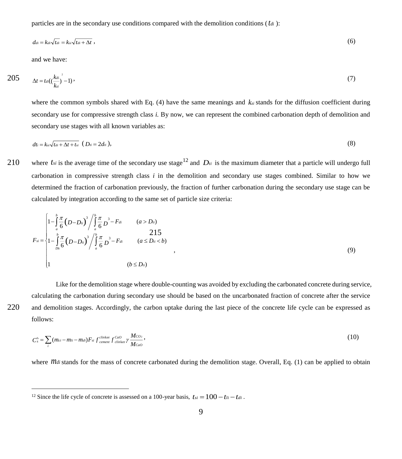particles are in the secondary use conditions compared with the demolition conditions ( *tdi* ):

$$
d_{di} = k_{di}\sqrt{t_{di}} = k_{si}\sqrt{t_{di} + \Delta t} \tag{6}
$$

and we have:

$$
205 \qquad \Delta t = t_{di} \left( \frac{k_{di}}{k_{si}} \right)^2 - 1) \tag{7}
$$

where the common symbols shared with Eq.  $(4)$  have the same meanings and  $k_{si}$  stands for the diffusion coefficient during secondary use for compressive strength class *i.* By now, we can represent the combined carbonation depth of demolition and secondary use stages with all known variables as:

$$
dt_i = k_{si} \sqrt{t_{di} + \Delta t + t_{si}} \quad (Di_i = 2d_{ii}),
$$
\n(8)

210 where  $t_{si}$  is the average time of the secondary use stage<sup>12</sup> and  $D_{ti}$  is the maximum diameter that a particle will undergo full carbonation in compressive strength class *i* in the demolition and secondary use stages combined. Similar to how we determined the fraction of carbonation previously, the fraction of further carbonation during the secondary use stage can be calculated by integration according to the same set of particle size criteria:

$$
F_{si} = \begin{cases} 1 - \int_{a}^{b} \frac{\pi}{6} (D - D_{ii})^{3} / \int_{a}^{b} \frac{\pi}{6} D^{3} - F_{di} & (a > D_{ii}) \\ 1 - \int_{D_{ii}}^{b} \frac{\pi}{6} (D - D_{ii})^{3} / \int_{a}^{b} \frac{\pi}{6} D^{3} - F_{di} & (a \le D_{ii} < b) \\ 1 & (b \le D_{ii}) \end{cases}
$$
(9)

 $\overline{a}$ 

Like for the demolition stage where double-counting was avoided by excluding the carbonated concrete during service, calculating the carbonation during secondary use should be based on the uncarbonated fraction of concrete after the service 220 and demolition stages. Accordingly, the carbon uptake during the last piece of the concrete life cycle can be expressed as follows:

$$
C_s^{ts} = \sum_i (m_{ci} - m_{li} - m_{di}) F_{si} f_{\text{c}^{\text{dinker}} C_{\text{c}}^{Gao}} f_{\text{cluster}}^{Gao} \gamma \frac{M_{CO_2}}{M_{Cao}}, \qquad (10)
$$

where *Mdi* stands for the mass of concrete carbonated during the demolition stage. Overall, Eq. (1) can be applied to obtain

<sup>&</sup>lt;sup>12</sup> Since the life cycle of concrete is assessed on a 100-year basis,  $t_{si} = 100 - t_{li} - t_{di}$ .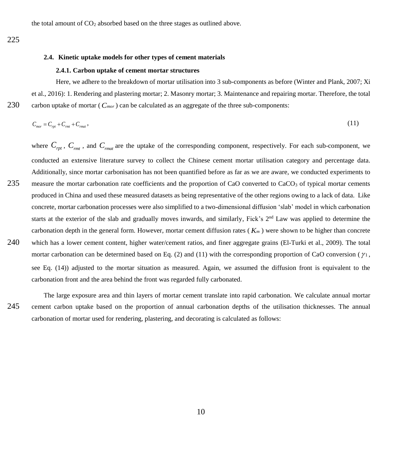the total amount of  $CO<sub>2</sub>$  absorbed based on the three stages as outlined above.

#### <span id="page-9-0"></span>**2.4. Kinetic uptake models for other types of cement materials**

#### **2.4.1. Carbon uptake of cement mortar structures**

Here, we adhere to the breakdown of mortar utilisation into 3 sub-components as before (Winter and Plank, 2007; Xi et al., 2016): 1. Rendering and plastering mortar; 2. Masonry mortar; 3. Maintenance and repairing mortar. Therefore, the total 230 carbon uptake of mortar ( *Cmor* ) can be calculated as an aggregate of the three sub-components:

$$
C_{\text{mor}} = C_{\text{rpt}} + C_{\text{rmt}} + C_{\text{rmat}}\,,\tag{11}
$$

where  $C_{\rho pt}$ ,  $C_{\rho mt}$ , and  $C_{\rho mat}$  are the uptake of the corresponding component, respectively. For each sub-component, we conducted an extensive literature survey to collect the Chinese cement mortar utilisation category and percentage data. Additionally, since mortar carbonisation has not been quantified before as far as we are aware, we conducted experiments to 235 measure the mortar carbonation rate coefficients and the proportion of CaO converted to  $CaCO<sub>3</sub>$  of typical mortar cements produced in China and used these measured datasets as being representative of the other regions owing to a lack of data. Like concrete, mortar carbonation processes were also simplified to a two-dimensional diffusion 'slab' model in which carbonation starts at the exterior of the slab and gradually moves inwards, and similarly, Fick's  $2<sup>nd</sup>$  Law was applied to determine the carbonation depth in the general form. However, mortar cement diffusion rates ( *K<sup>m</sup>* ) were shown to be higher than concrete 240 which has a lower cement content, higher water/cement ratios, and finer aggregate grains (El-Turki et al., 2009). The total mortar carbonation can be determined based on Eq. (2) and (11) with the corresponding proportion of CaO conversion ( $\gamma_1$ , see Eq. (14)) adjusted to the mortar situation as measured. Again, we assumed the diffusion front is equivalent to the carbonation front and the area behind the front was regarded fully carbonated.

The large exposure area and thin layers of mortar cement translate into rapid carbonation. We calculate annual mortar 245 cement carbon uptake based on the proportion of annual carbonation depths of the utilisation thicknesses. The annual carbonation of mortar used for rendering, plastering, and decorating is calculated as follows: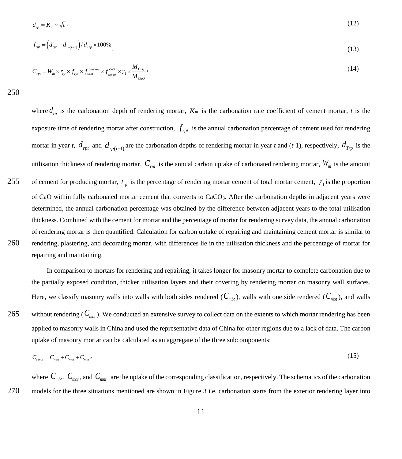$$
d_p = K_m \times \sqrt{t} \tag{12}
$$

$$
f_{\eta t} = \left(d_{\eta t} - d_{\eta t(1)}\right) / d_{\eta t} \times 100\%,\tag{13}
$$

$$
C_{\eta t} = W_m \times r_{\eta t} \times f_{\eta t} \times f_{\text{cem}}^{\text{cilinear}} \times f_{\text{clinker}}^{\text{Cao}} \times \gamma_1 \times \frac{M_{\text{CO}_2}}{M_{\text{Cao}}},
$$
\n(14)

250

where  $d_{rp}$  is the carbonation depth of rendering mortar,  $K_m$  is the carbonation rate coefficient of cement mortar, *t* is the exposure time of rendering mortar after construction,  $f_{\text{rpt}}$  is the annual carbonation percentage of cement used for rendering mortar in year *t*,  $d_{rpt}$  and  $d_{rp(t-1)}$  are the carbonation depths of rendering mortar in year *t* and (*t*-1), respectively,  $d_{Tpp}$  is the utilisation thickness of rendering mortar, *Crpt* is the annual carbon uptake of carbonated rendering mortar, *W<sup>m</sup>* is the amount of cement for producing mortar,  $r_p$  is the percentage of rendering mortar cement of total mortar cement,  $\gamma_1$  is the proportion 255 of CaO within fully carbonated mortar cement that converts to  $CaCO<sub>3</sub>$ . After the carbonation depths in adjacent years were determined, the annual carbonation percentage was obtained by the difference between adjacent years to the total utilisation thickness. Combined with the cement for mortar and the percentage of mortar for rendering survey data, the annual carbonation of rendering mortar is then quantified. Calculation for carbon uptake of repairing and maintaining cement mortar is similar to 260 rendering, plastering, and decorating mortar, with differences lie in the utilisation thickness and the percentage of mortar for repairing and maintaining.

In comparison to mortars for rendering and repairing, it takes longer for masonry mortar to complete carbonation due to the partially exposed condition, thicker utilisation layers and their covering by rendering mortar on masonry wall surfaces. Here, we classify masonry walls into walls with both sides rendered  $(C_{mbt})$ , walls with one side rendered  $(C_{mot})$ , and walls 265 without rendering ( $C_{mnt}$ ). We conducted an extensive survey to collect data on the extents to which mortar rendering has been applied to masonry walls in China and used the representative data of China for other regions due to a lack of data. The carbon uptake of masonry mortar can be calculated as an aggregate of the three subcomponents:

$$
C_{\text{rmat}} = C_{\text{mbt}} + C_{\text{mot}} + C_{\text{mut}}\,,\tag{15}
$$

where  $C_{mbt}$ ,  $C_{mot}$ , and  $C_{mnt}$  are the uptake of the corresponding classification, respectively. The schematics of the carbonation 270 models for the three situations mentioned are shown in [Figure 3](#page-11-0) i.e. carbonation starts from the exterior rendering layer into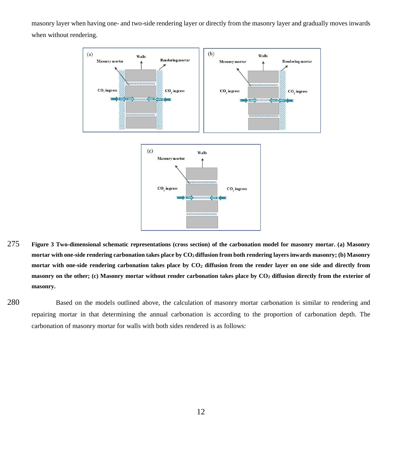masonry layer when having one- and two-side rendering layer or directly from the masonry layer and gradually moves inwards when without rendering.



- <span id="page-11-0"></span>275 **Figure 3 Two-dimensional schematic representations (cross section) of the carbonation model for masonry mortar. (a) Masonry mortar with one-side rendering carbonation takes place by CO2 diffusion from both rendering layers inwards masonry; (b) Masonry mortar with one-side rendering carbonation takes place by CO<sup>2</sup> diffusion from the render layer on one side and directly from masonry on the other; (c) Masonry mortar without render carbonation takes place by CO<sup>2</sup> diffusion directly from the exterior of masonry.**
- 280 Based on the models outlined above, the calculation of masonry mortar carbonation is similar to rendering and repairing mortar in that determining the annual carbonation is according to the proportion of carbonation depth. The carbonation of masonry mortar for walls with both sides rendered is as follows: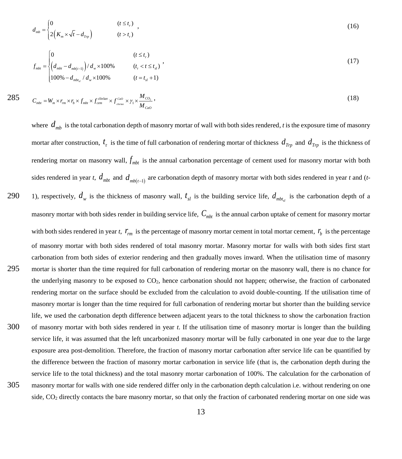$$
d_{mb} = \begin{cases} 0 & (t \le t_r) \\ 2\left(K_m \times \sqrt{t} - d_{T_p}\right) & (t > t_r) \end{cases} \tag{16}
$$

$$
f_{mbt} = \begin{cases} 0 & (t \le t_r) \\ \left(d_{mbt} - d_{mb(t-1)}\right)/d_w \times 100\% & (t_r < t \le t_{sl}) \\ 100\% - d_{mbt_{sl}}/d_w \times 100\% & (t = t_{sl} + 1) \end{cases} \tag{17}
$$

$$
285 \t Cmbt = Wm \times rm \times rb \times fmbt \times fcemclinker \times fcamCo \times \gamma_1 \times \frac{M_{CO_2}}{M_{Co}}
$$
, (18)

where  $d_{mb}$  is the total carbonation depth of masonry mortar of wall with both sides rendered, *t* is the exposure time of masonry mortar after construction,  $t_r$  is the time of full carbonation of rendering mortar of thickness  $d_{Trp}$  and  $d_{Trp}$  is the thickness of rendering mortar on masonry wall,  $f_{mbt}$  is the annual carbonation percentage of cement used for masonry mortar with both sides rendered in year *t*,  $d_{mbt}$  and  $d_{mb(t-1)}$  are carbonation depth of masonry mortar with both sides rendered in year *t* and (*t*-1), respectively,  $d_w$  is the thickness of masonry wall,  $t_{sl}$  is the building service life,  $d_{mbt}$  is the carbonation depth of a 290 masonry mortar with both sides render in building service life,  $C_{mbt}$  is the annual carbon uptake of cement for masonry mortar with both sides rendered in year *t*,  $r_{rm}$  is the percentage of masonry mortar cement in total mortar cement,  $r_b$  is the percentage of masonry mortar with both sides rendered of total masonry mortar. Masonry mortar for walls with both sides first start carbonation from both sides of exterior rendering and then gradually moves inward. When the utilisation time of masonry 295 mortar is shorter than the time required for full carbonation of rendering mortar on the masonry wall, there is no chance for the underlying masonry to be exposed to CO<sub>2</sub>, hence carbonation should not happen; otherwise, the fraction of carbonated rendering mortar on the surface should be excluded from the calculation to avoid double-counting. If the utilisation time of masonry mortar is longer than the time required for full carbonation of rendering mortar but shorter than the building service life, we used the carbonation depth difference between adjacent years to the total thickness to show the carbonation fraction 300 of masonry mortar with both sides rendered in year *t*. If the utilisation time of masonry mortar is longer than the building service life, it was assumed that the left uncarbonized masonry mortar will be fully carbonated in one year due to the large exposure area post-demolition. Therefore, the fraction of masonry mortar carbonation after service life can be quantified by the difference between the fraction of masonry mortar carbonation in service life (that is, the carbonation depth during the service life to the total thickness) and the total masonry mortar carbonation of 100%. The calculation for the carbonation of 305 masonry mortar for walls with one side rendered differ only in the carbonation depth calculation i.e. without rendering on one side, CO<sub>2</sub> directly contacts the bare masonry mortar, so that only the fraction of carbonated rendering mortar on one side was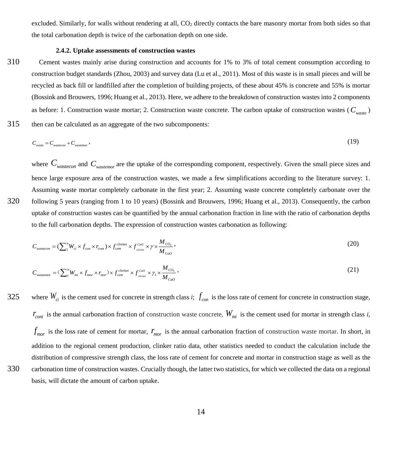excluded. Similarly, for walls without rendering at all, CO<sub>2</sub> directly contacts the bare masonry mortar from both sides so that the total carbonation depth is twice of the carbonation depth on one side.

#### **2.4.2. Uptake assessments of construction wastes**

310 Cement wastes mainly arise during construction and accounts for 1% to 3% of total cement consumption according to construction budget standards (Zhou, 2003) and survey data (Lu et al., 2011). Most of this waste is in small pieces and will be recycled as back fill or landfilled after the completion of building projects, of these about 45% is concrete and 55% is mortar (Bossink and Brouwers, 1996; Huang et al., 2013). Here, we adhere to the breakdown of construction wastes into 2 components as before: 1. Construction waste mortar; 2. Construction waste concrete. The carbon uptake of construction wastes ( *Cwaste* ) 315 then can be calculated as an aggregate of the two subcomponents:

$$
C_{\text{waste}} = C_{\text{wastecon}} + C_{\text{wastecon}} \tag{19}
$$

where  $C_{wastecon}$  and  $C_{wastecon}$  are the uptake of the corresponding component, respectively. Given the small piece sizes and hence large exposure area of the construction wastes, we made a few simplifications according to the literature survey: 1. Assuming waste mortar completely carbonate in the first year; 2. Assuming waste concrete completely carbonate over the 320 following 5 years (ranging from 1 to 10 years) (Bossink and Brouwers, 1996; Huang et al., 2013). Consequently, the carbon uptake of construction wastes can be quantified by the annual carbonation fraction in line with the ratio of carbonation depths to the full carbonation depths. The expression of construction wastes carbonation as following:

$$
C_{wastecon} = (\sum_{1}^{n} W_{ci} \times f_{con} \times r_{cont}) \times f_{cem}^{clinker} \times f_{clm}^{Co} \times \gamma \times \frac{M_{CO_2}}{M_{CoO}} \tag{20}
$$

$$
C_{\text{watermor}} = (\sum_{1}^{n} W_{mi} \times f_{mor} \times r_{mor}) \times f_{cem}^{\text{clinker}} \times f_{\text{cim}}^{\text{Cao}} \times \gamma_{1} \times \frac{M_{CO_{2}}}{M_{CoO}} \,,\tag{21}
$$

where  $W_{ci}$  is the cement used for concrete in strength class *i*;  $f_{con}$  is the loss rate of cement for concrete in construction stage, 325  $r_{cont}$  is the annual carbonation fraction of construction waste concrete,  $W_{mi}$  is the cement used for mortar in strength class *i*,  $f_{\text{mor}}$  is the loss rate of cement for mortar,  $r_{\text{mor}}$  is the annual carbonation fraction of construction waste mortar. In short, in addition to the regional cement production, clinker ratio data, other statistics needed to conduct the calculation include the distribution of compressive strength class, the loss rate of cement for concrete and mortar in construction stage as well as the 330 carbonation time of construction wastes. Crucially though, the latter two statistics, for which we collected the data on a regional basis, will dictate the amount of carbon uptake.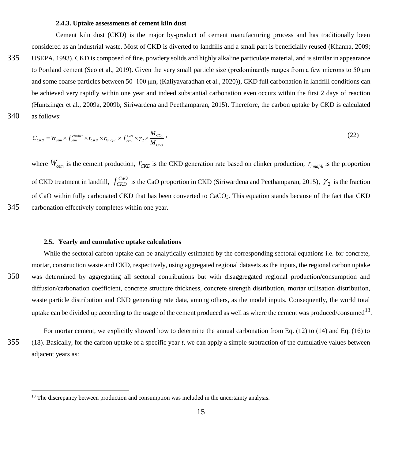#### **2.4.3. Uptake assessments of cement kiln dust**

Cement kiln dust (CKD) is the major by-product of cement manufacturing process and has traditionally been considered as an industrial waste. Most of CKD is diverted to landfills and a small part is beneficially reused (Khanna, 2009; 335 USEPA, 1993). CKD is composed of fine, powdery solids and highly alkaline particulate material, and is similar in appearance to Portland cement (Seo et al., 2019). Given the very small particle size (predominantly ranges from a few microns to 50 μm and some coarse particles between 50–100 μm, (Kaliyavaradhan et al., 2020)), CKD full carbonation in landfill conditions can be achieved very rapidly within one year and indeed substantial carbonation even occurs within the first 2 days of reaction (Huntzinger et al., 2009a, 2009b; Siriwardena and Peethamparan, 2015). Therefore, the carbon uptake by CKD is calculated 340 as follows:

$$
C_{CKD} = W_{cem} \times f_{cem}^{clinker} \times r_{CKD} \times r_{landfill} \times f_{CKD}^{caO} \times \gamma_2 \times \frac{M_{CO_2}}{M_{CoO}} \tag{22}
$$

where  $W_{\text{cem}}$  is the cement production,  $r_{CKD}$  is the CKD generation rate based on clinker production,  $r_{\text{landfill}}$  is the proportion of CKD treatment in landfill,  $f_{CKD}^{CaO}$  is the CaO proportion in CKD (Siriwardena and Peethamparan, 2015),  $\gamma_2$  is the fraction of CaO within fully carbonated CKD that has been converted to CaCO3. This equation stands because of the fact that CKD 345 carbonation effectively completes within one year.

#### **2.5. Yearly and cumulative uptake calculations**

 $\overline{a}$ 

While the sectoral carbon uptake can be analytically estimated by the corresponding sectoral equations i.e. for concrete, mortar, construction waste and CKD, respectively, using aggregated regional datasets as the inputs, the regional carbon uptake 350 was determined by aggregating all sectoral contributions but with disaggregated regional production/consumption and diffusion/carbonation coefficient, concrete structure thickness, concrete strength distribution, mortar utilisation distribution, waste particle distribution and CKD generating rate data, among others, as the model inputs. Consequently, the world total uptake can be divided up according to the usage of the cement produced as well as where the cement was produced/consumed $^{13}$ .

For mortar cement, we explicitly showed how to determine the annual carbonation from Eq. (12) to (14) and Eq. (16) to 355 (18). Basically, for the carbon uptake of a specific year *t*, we can apply a simple subtraction of the cumulative values between adjacent years as:

<sup>&</sup>lt;sup>13</sup> The discrepancy between production and consumption was included in the uncertainty analysis.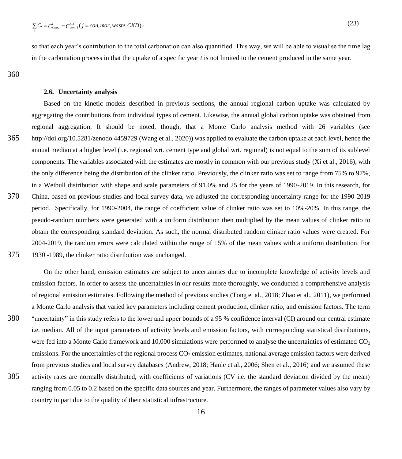so that each year's contribution to the total carbonation can also quantified. This way, we will be able to visualise the time lag in the carbonation process in that the uptake of a specific year *t* is not limited to the cement produced in the same year.

360

*j*

#### **2.6. Uncertainty analysis**

Based on the kinetic models described in previous sections, the annual regional carbon uptake was calculated by aggregating the contributions from individual types of cement. Likewise, the annual global carbon uptake was obtained from regional aggregation. It should be noted, though, that a Monte Carlo analysis method with 26 variables (see 365 http://doi.org/10.5281/zenodo.4459729 (Wang et al., 2020)) was applied to evaluate the carbon uptake at each level, hence the annual median at a higher level (i.e. regional wrt. cement type and global wrt. regional) is not equal to the sum of its sublevel components. The variables associated with the estimates are mostly in common with our previous study (Xi et al., 2016), with the only difference being the distribution of the clinker ratio. Previously, the clinker ratio was set to range from 75% to 97%, in a Weibull distribution with shape and scale parameters of 91.0% and 25 for the years of 1990-2019. In this research, for 370 China, based on previous studies and local survey data, we adjusted the corresponding uncertainty range for the 1990-2019 period. Specifically, for 1990-2004, the range of coefficient value of clinker ratio was set to 10%-20%. In this range, the pseudo-random numbers were generated with a uniform distribution then multiplied by the mean values of clinker ratio to obtain the corresponding standard deviation. As such, the normal distributed random clinker ratio values were created. For 2004-2019, the random errors were calculated within the range of ±5% of the mean values with a uniform distribution. For 375 1930 -1989, the clinker ratio distribution was unchanged.

On the other hand, emission estimates are subject to uncertainties due to incomplete knowledge of activity levels and emission factors. In order to assess the uncertainties in our results more thoroughly, we conducted a comprehensive analysis of regional emission estimates. Following the method of previous studies (Tong et al., 2018; Zhao et al., 2011), we performed a Monte Carlo analysis that varied key parameters including cement production, clinker ratio, and emission factors. The term 380 "uncertainty" in this study refers to the lower and upper bounds of a 95 % confidence interval (CI) around our central estimate i.e. median. All of the input parameters of activity levels and emission factors, with corresponding statistical distributions, were fed into a Monte Carlo framework and 10,000 simulations were performed to analyse the uncertainties of estimated  $CO<sub>2</sub>$ emissions. For the uncertainties of the regional process  $CO<sub>2</sub>$  emission estimates, national average emission factors were derived from previous studies and local survey databases (Andrew, 2018; Hanle et al., 2006; Shen et al., 2016) and we assumed these 385 activity rates are normally distributed, with coefficients of variations (CV i.e. the standard deviation divided by the mean) ranging from 0.05 to 0.2 based on the specific data sources and year. Furthermore, the ranges of parameter values also vary by country in part due to the quality of their statistical infrastructure.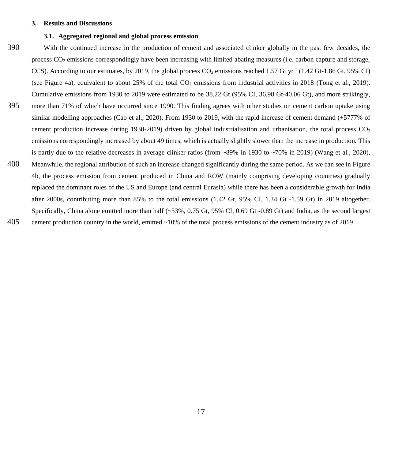#### **3. Results and Discussions**

#### **3.1. Aggregated regional and global process emission**

- 390 With the continued increase in the production of cement and associated clinker globally in the past few decades, the process CO<sub>2</sub> emissions correspondingly have been increasing with limited abating measures (i.e. carbon capture and storage, CCS). According to our estimates, by 2019, the global process  $CO_2$  emissions reached 1.57 Gt yr<sup>-1</sup> (1.42 Gt-1.86 Gt, 95% CI) (see [Figure 4a](#page-17-0)), equivalent to about 25% of the total  $CO<sub>2</sub>$  emissions from industrial activities in 2018 (Tong et al., 2019). Cumulative emissions from 1930 to 2019 were estimated to be 38.22 Gt (95% CI, 36.98 Gt-40.06 Gt), and more strikingly,
- 395 more than 71% of which have occurred since 1990. This finding agrees with other studies on cement carbon uptake using similar modelling approaches (Cao et al., 2020). From 1930 to 2019, with the rapid increase of cement demand (+5777% of cement production increase during 1930-2019) driven by global industrialisation and urbanisation, the total process  $CO<sub>2</sub>$ emissions correspondingly increased by about 49 times, which is actually slightly slower than the increase in production. This is partly due to the relative decreases in average clinker ratios (from ~89% in 1930 to ~70% in 2019) (Wang et al., 2020). 400 Meanwhile, the regional attribution of such an increase changed significantly during the same period. As we can see in [Figure](#page-17-0)
- [4b](#page-17-0), the process emission from cement produced in China and ROW (mainly comprising developing countries) gradually replaced the dominant roles of the US and Europe (and central Eurasia) while there has been a considerable growth for India after 2000s, contributing more than 85% to the total emissions (1.42 Gt, 95% CI, 1.34 Gt -1.59 Gt) in 2019 altogether. Specifically, China alone emitted more than half (~53%, 0.75 Gt, 95% CI, 0.69 Gt -0.89 Gt) and India, as the second largest

405 cement production country in the world, emitted ~10% of the total process emissions of the cement industry as of 2019.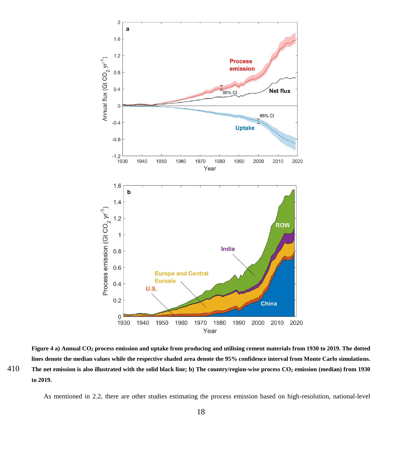

<span id="page-17-0"></span>**Figure 4 a) Annual CO<sup>2</sup> process emission and uptake from producing and utilising cement materials from 1930 to 2019. The dotted lines denote the median values while the respective shaded area denote the 95% confidence interval from Monte Carlo simulations.** 410 The net emission is also illustrated with the solid black line; b) The country/region-wise process  $CO<sub>2</sub>$  emission (median) from 1930 **to 2019.**

As mentioned in [2.2,](#page-3-0) there are other studies estimating the process emission based on high-resolution, national-level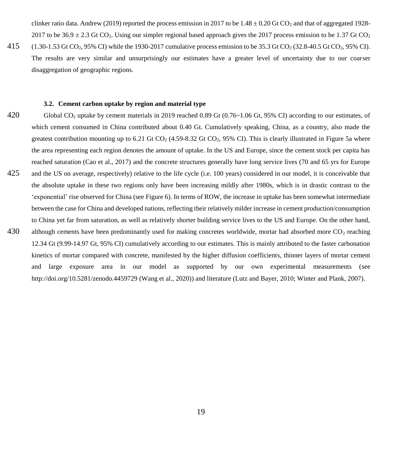clinker ratio data. Andrew (2019) reported the process emission in 2017 to be  $1.48 \pm 0.20$  Gt CO<sub>2</sub> and that of aggregated 1928-2017 to be  $36.9 \pm 2.3$  Gt CO<sub>2</sub>. Using our simpler regional based approach gives the 2017 process emission to be 1.37 Gt CO<sub>2</sub>.

415 (1.30-1.53 Gt CO2, 95% CI) while the 1930-2017 cumulative process emission to be 35.3 Gt CO<sup>2</sup> (32.8-40.5 Gt CO2, 95% CI). The results are very similar and unsurprisingly our estimates have a greater level of uncertainty due to our coarser disaggregation of geographic regions.

#### **3.2. Cement carbon uptake by region and material type**

420 Global CO<sub>2</sub> uptake by cement materials in 2019 reached 0.89 Gt (0.76~1.06 Gt, 95% CI) according to our estimates, of which cement consumed in China contributed about 0.40 Gt. Cumulatively speaking, China, as a country, also made the greatest contribution mounting up to 6.21 Gt  $CO_2$  (4.59-8.32 Gt  $CO_2$ , 95% CI). This is clearly illustrated in [Figure 5a](#page-19-0) where the area representing each region denotes the amount of uptake. In the US and Europe, since the cement stock per capita has reached saturation (Cao et al., 2017) and the concrete structures generally have long service lives (70 and 65 yrs for Europe 425 and the US on average, respectively) relative to the life cycle (i.e. 100 years) considered in our model, it is conceivable that the absolute uptake in these two regions only have been increasing mildly after 1980s, which is in drastic contrast to the 'exponential' rise observed for China (se[e Figure 6\)](#page-20-0). In terms of ROW, the increase in uptake has been somewhat intermediate between the case for China and developed nations, reflecting their relatively milder increase in cement production/consumption to China yet far from saturation, as well as relatively shorter building service lives to the US and Europe. On the other hand, 430 although cements have been predominantly used for making concretes worldwide, mortar had absorbed more  $CO<sub>2</sub>$  reaching 12.34 Gt (9.99-14.97 Gt, 95% CI) cumulatively according to our estimates. This is mainly attributed to the faster carbonation kinetics of mortar compared with concrete, manifested by the higher diffusion coefficients, thinner layers of mortar cement and large exposure area in our model as supported by our own experimental measurements (see

http://doi.org/10.5281/zenodo.4459729 (Wang et al., 2020)) and literature (Lutz and Bayer, 2010; Winter and Plank, 2007).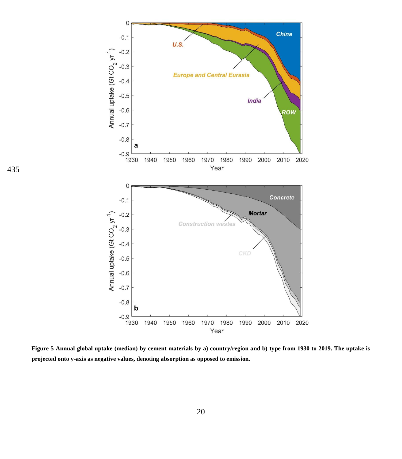

<span id="page-19-0"></span>**Figure 5 Annual global uptake (median) by cement materials by a) country/region and b) type from 1930 to 2019. The uptake is projected onto y-axis as negative values, denoting absorption as opposed to emission.**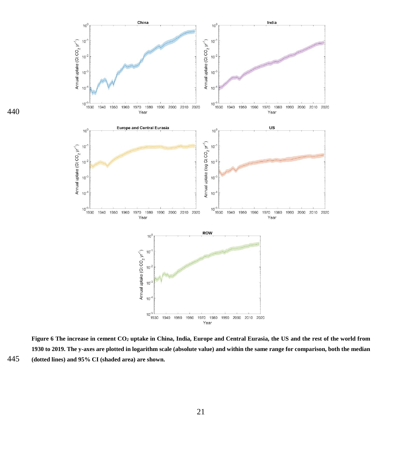

<span id="page-20-0"></span>**Figure 6 The increase in cement CO<sup>2</sup> uptake in China, India, Europe and Central Eurasia, the US and the rest of the world from 1930 to 2019. The y-axes are plotted in logarithm scale (absolute value) and within the same range for comparison, both the median**  445 **(dotted lines) and 95% CI (shaded area) are shown.**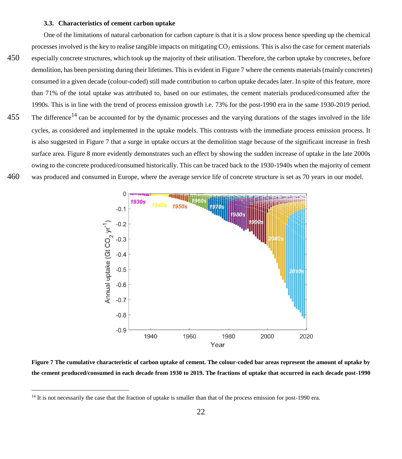#### **3.3. Characteristics of cement carbon uptake**

One of the limitations of natural carbonation for carbon capture is that it is a slow process hence speeding up the chemical processes involved is the key to realise tangible impacts on mitigating  $CO<sub>2</sub>$  emissions. This is also the case for cement materials 450 especially concrete structures, which took up the majority of their utilisation. Therefore, the carbon uptake by concretes, before demolition, has been persisting during their lifetimes. This is evident in [Figure 7](#page-21-0) where the cements materials (mainly concretes) consumed in a given decade (colour-coded) still made contribution to carbon uptake decades later. In spite of this feature, more than 71% of the total uptake was attributed to, based on our estimates, the cement materials produced/consumed after the 1990s. This is in line with the trend of process emission growth i.e. 73% for the post-1990 era in the same 1930-2019 period. 455 The difference<sup>14</sup> can be accounted for by the dynamic processes and the varying durations of the stages involved in the life cycles, as considered and implemented in the uptake models. This contrasts with the immediate process emission process. It is also suggested in [Figure 7](#page-21-0) that a surge in uptake occurs at the demolition stage because of the significant increase in fresh surface area. [Figure 8](#page-22-0) more evidently demonstrates such an effect by showing the sudden increase of uptake in the late 2000s owing to the concrete produced/consumed historically. This can be traced back to the 1930-1940s when the majority of cement 460 was produced and consumed in Europe, where the average service life of concrete structure is set as 70 years in our model.



<span id="page-21-0"></span>**Figure 7 The cumulative characteristic of carbon uptake of cement. The colour-coded bar areas represent the amount of uptake by the cement produced/consumed in each decade from 1930 to 2019. The fractions of uptake that occurred in each decade post-1990** 

<sup>&</sup>lt;sup>14</sup> It is not necessarily the case that the fraction of uptake is smaller than that of the process emission for post-1990 era.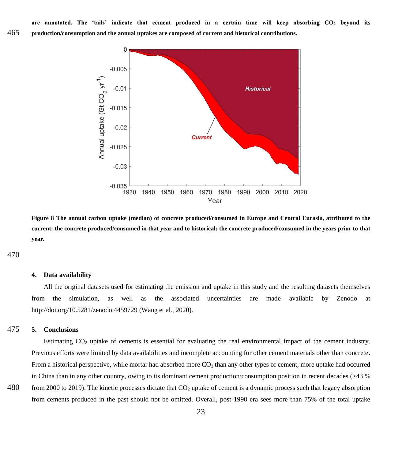**are annotated. The 'tails' indicate that cement produced in a certain time will keep absorbing CO<sup>2</sup> beyond its**  465 **production/consumption and the annual uptakes are composed of current and historical contributions.**



<span id="page-22-0"></span>**Figure 8 The annual carbon uptake (median) of concrete produced/consumed in Europe and Central Eurasia, attributed to the current: the concrete produced/consumed in that year and to historical: the concrete produced/consumed in the years prior to that year.**

470

#### **4. Data availability**

All the original datasets used for estimating the emission and uptake in this study and the resulting datasets themselves from the simulation, as well as the associated uncertainties are made available by Zenodo at http://doi.org/10.5281/zenodo.4459729 (Wang et al., 2020).

## 475 **5. Conclusions**

Estimating  $CO<sub>2</sub>$  uptake of cements is essential for evaluating the real environmental impact of the cement industry. Previous efforts were limited by data availabilities and incomplete accounting for other cement materials other than concrete. From a historical perspective, while mortar had absorbed more  $CO<sub>2</sub>$  than any other types of cement, more uptake had occurred in China than in any other country, owing to its dominant cement production/consumption position in recent decades (>43 %

480 from 2000 to 2019). The kinetic processes dictate that CO<sup>2</sup> uptake of cement is a dynamic process such that legacy absorption from cements produced in the past should not be omitted. Overall, post-1990 era sees more than 75% of the total uptake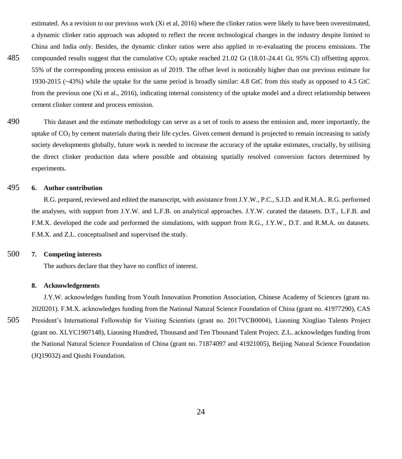estimated. As a revision to our previous work (Xi et al, 2016) where the clinker ratios were likely to have been overestimated, a dynamic clinker ratio approach was adopted to reflect the recent technological changes in the industry despite limited to China and India only. Besides, the dynamic clinker ratios were also applied in re-evaluating the process emissions. The

485 compounded results suggest that the cumulative CO<sub>2</sub> uptake reached 21.02 Gt (18.01-24.41 Gt, 95% CI) offsetting approx. 55% of the corresponding process emission as of 2019. The offset level is noticeably higher than our previous estimate for 1930-2015 (~43%) while the uptake for the same period is broadly similar: 4.8 GtC from this study as opposed to 4.5 GtC from the previous one (Xi et al., 2016), indicating internal consistency of the uptake model and a direct relationship between cement clinker content and process emission.

490 This dataset and the estimate methodology can serve as a set of tools to assess the emission and, more importantly, the uptake of  $CO<sub>2</sub>$  by cement materials during their life cycles. Given cement demand is projected to remain increasing to satisfy society developments globally, future work is needed to increase the accuracy of the uptake estimates, crucially, by utilising the direct clinker production data where possible and obtaining spatially resolved conversion factors determined by experiments.

# 495 **6. Author contribution**

R.G. prepared, reviewed and edited the manuscript, with assistance from J.Y.W., P.C., S.J.D. and R.M.A.. R.G. performed the analyses, with support from J.Y.W. and L.F.B. on analytical approaches. J.Y.W. curated the datasets. D.T., L.F.B. and F.M.X. developed the code and performed the simulations, with support from R.G., J.Y.W., D.T. and R.M.A. on datasets. F.M.X. and Z.L. conceptualised and supervised the study.

# 500 **7. Competing interests**

The authors declare that they have no conflict of interest.

#### **8. Acknowledgements**

J.Y.W. acknowledges funding from Youth Innovation Promotion Association, Chinese Academy of Sciences (grant no. 2020201). F.M.X. acknowledges funding from the National Natural Science Foundation of China (grant no. 41977290), CAS 505 President's International Fellowship for Visiting Scientists (grant no. 2017VCB0004), Liaoning Xingliao Talents Project (grant no. XLYC1907148), Liaoning Hundred, Thousand and Ten Thousand Talent Project. Z.L. acknowledges funding from the National Natural Science Foundation of China (grant no. 71874097 and 41921005), Beijing Natural Science Foundation (JQ19032) and Qiushi Foundation.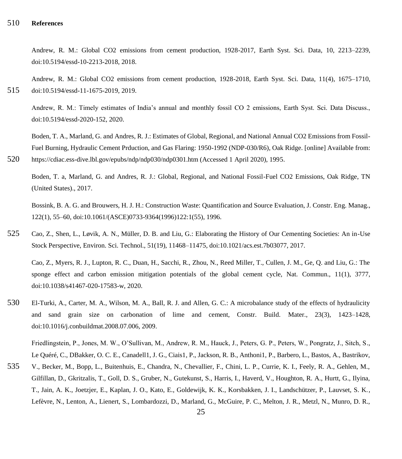# 510 **References**

Andrew, R. M.: Global CO2 emissions from cement production, 1928-2017, Earth Syst. Sci. Data, 10, 2213–2239, doi:10.5194/essd-10-2213-2018, 2018.

Andrew, R. M.: Global CO2 emissions from cement production, 1928-2018, Earth Syst. Sci. Data, 11(4), 1675–1710, 515 doi:10.5194/essd-11-1675-2019, 2019.

Andrew, R. M.: Timely estimates of India's annual and monthly fossil CO 2 emissions, Earth Syst. Sci. Data Discuss., doi:10.5194/essd-2020-152, 2020.

Boden, T. A., Marland, G. and Andres, R. J.: Estimates of Global, Regional, and National Annual CO2 Emissions from Fossil-Fuel Burning, Hydraulic Cement Prduction, and Gas Flaring: 1950-1992 (NDP-030/R6), Oak Ridge. [online] Available from: 520 https://cdiac.ess-dive.lbl.gov/epubs/ndp/ndp030/ndp0301.htm (Accessed 1 April 2020), 1995.

Boden, T. a, Marland, G. and Andres, R. J.: Global, Regional, and National Fossil-Fuel CO2 Emissions, Oak Ridge, TN (United States)., 2017.

Bossink, B. A. G. and Brouwers, H. J. H.: Construction Waste: Quantification and Source Evaluation, J. Constr. Eng. Manag., 122(1), 55–60, doi:10.1061/(ASCE)0733-9364(1996)122:1(55), 1996.

525 Cao, Z., Shen, L., Løvik, A. N., Müller, D. B. and Liu, G.: Elaborating the History of Our Cementing Societies: An in-Use Stock Perspective, Environ. Sci. Technol., 51(19), 11468–11475, doi:10.1021/acs.est.7b03077, 2017.

Cao, Z., Myers, R. J., Lupton, R. C., Duan, H., Sacchi, R., Zhou, N., Reed Miller, T., Cullen, J. M., Ge, Q. and Liu, G.: The sponge effect and carbon emission mitigation potentials of the global cement cycle, Nat. Commun., 11(1), 3777, doi:10.1038/s41467-020-17583-w, 2020.

530 El-Turki, A., Carter, M. A., Wilson, M. A., Ball, R. J. and Allen, G. C.: A microbalance study of the effects of hydraulicity and sand grain size on carbonation of lime and cement, Constr. Build. Mater., 23(3), 1423–1428, doi:10.1016/j.conbuildmat.2008.07.006, 2009.

Friedlingstein, P., Jones, M. W., O'Sullivan, M., Andrew, R. M., Hauck, J., Peters, G. P., Peters, W., Pongratz, J., Sitch, S., Le Quéré, C., DBakker, O. C. E., Canadell1, J. G., Ciais1, P., Jackson, R. B., Anthoni1, P., Barbero, L., Bastos, A., Bastrikov,

535 V., Becker, M., Bopp, L., Buitenhuis, E., Chandra, N., Chevallier, F., Chini, L. P., Currie, K. I., Feely, R. A., Gehlen, M., Gilfillan, D., Gkritzalis, T., Goll, D. S., Gruber, N., Gutekunst, S., Harris, I., Haverd, V., Houghton, R. A., Hurtt, G., Ilyina, T., Jain, A. K., Joetzjer, E., Kaplan, J. O., Kato, E., Goldewijk, K. K., Korsbakken, J. I., Landschützer, P., Lauvset, S. K., Lefèvre, N., Lenton, A., Lienert, S., Lombardozzi, D., Marland, G., McGuire, P. C., Melton, J. R., Metzl, N., Munro, D. R.,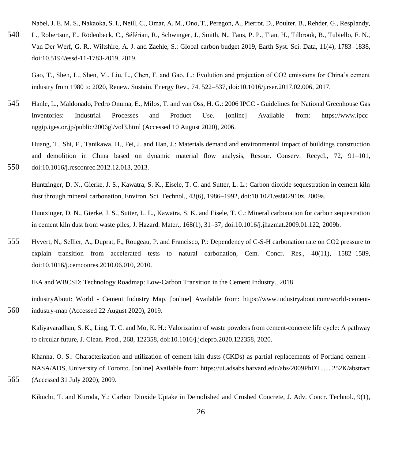Nabel, J. E. M. S., Nakaoka, S. I., Neill, C., Omar, A. M., Ono, T., Peregon, A., Pierrot, D., Poulter, B., Rehder, G., Resplandy,

540 L., Robertson, E., Rödenbeck, C., Séférian, R., Schwinger, J., Smith, N., Tans, P. P., Tian, H., Tilbrook, B., Tubiello, F. N., Van Der Werf, G. R., Wiltshire, A. J. and Zaehle, S.: Global carbon budget 2019, Earth Syst. Sci. Data, 11(4), 1783–1838, doi:10.5194/essd-11-1783-2019, 2019.

Gao, T., Shen, L., Shen, M., Liu, L., Chen, F. and Gao, L.: Evolution and projection of CO2 emissions for China's cement industry from 1980 to 2020, Renew. Sustain. Energy Rev., 74, 522–537, doi:10.1016/j.rser.2017.02.006, 2017.

545 Hanle, L., Maldonado, Pedro Onuma, E., Milos, T. and van Oss, H. G.: 2006 IPCC - Guidelines for National Greenhouse Gas Inventories: Industrial Processes and Product Use. [online] Available from: https://www.ipccnggip.iges.or.jp/public/2006gl/vol3.html (Accessed 10 August 2020), 2006.

Huang, T., Shi, F., Tanikawa, H., Fei, J. and Han, J.: Materials demand and environmental impact of buildings construction and demolition in China based on dynamic material flow analysis, Resour. Conserv. Recycl., 72, 91–101, 550 doi:10.1016/j.resconrec.2012.12.013, 2013.

Huntzinger, D. N., Gierke, J. S., Kawatra, S. K., Eisele, T. C. and Sutter, L. L.: Carbon dioxide sequestration in cement kiln dust through mineral carbonation, Environ. Sci. Technol., 43(6), 1986–1992, doi:10.1021/es802910z, 2009a.

Huntzinger, D. N., Gierke, J. S., Sutter, L. L., Kawatra, S. K. and Eisele, T. C.: Mineral carbonation for carbon sequestration in cement kiln dust from waste piles, J. Hazard. Mater., 168(1), 31–37, doi:10.1016/j.jhazmat.2009.01.122, 2009b.

555 Hyvert, N., Sellier, A., Duprat, F., Rougeau, P. and Francisco, P.: Dependency of C-S-H carbonation rate on CO2 pressure to explain transition from accelerated tests to natural carbonation, Cem. Concr. Res., 40(11), 1582–1589, doi:10.1016/j.cemconres.2010.06.010, 2010.

IEA and WBCSD: Technology Roadmap: Low-Carbon Transition in the Cement Industry., 2018.

industryAbout: World - Cement Industry Map, [online] Available from: https://www.industryabout.com/world-cement-560 industry-map (Accessed 22 August 2020), 2019.

Kaliyavaradhan, S. K., Ling, T. C. and Mo, K. H.: Valorization of waste powders from cement-concrete life cycle: A pathway to circular future, J. Clean. Prod., 268, 122358, doi:10.1016/j.jclepro.2020.122358, 2020.

Khanna, O. S.: Characterization and utilization of cement kiln dusts (CKDs) as partial replacements of Portland cement - NASA/ADS, University of Toronto. [online] Available from: https://ui.adsabs.harvard.edu/abs/2009PhDT.......252K/abstract 565 (Accessed 31 July 2020), 2009.

Kikuchi, T. and Kuroda, Y.: Carbon Dioxide Uptake in Demolished and Crushed Concrete, J. Adv. Concr. Technol., 9(1),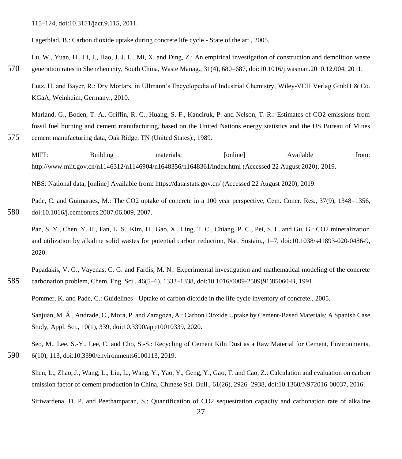115–124, doi:10.3151/jact.9.115, 2011.

Lagerblad, B.: Carbon dioxide uptake during concrete life cycle - State of the art., 2005.

Lu, W., Yuan, H., Li, J., Hao, J. J. L., Mi, X. and Ding, Z.: An empirical investigation of construction and demolition waste 570 generation rates in Shenzhen city, South China, Waste Manag., 31(4), 680–687, doi:10.1016/j.wasman.2010.12.004, 2011.

Lutz, H. and Bayer, R.: Dry Mortars, in Ullmann's Encyclopedia of Industrial Chemistry, Wiley-VCH Verlag GmbH & Co. KGaA, Weinheim, Germany., 2010.

Marland, G., Boden, T. A., Griffin, R. C., Huang, S. F., Kanciruk, P. and Nelson, T. R.: Estimates of CO2 emissions from fossil fuel burning and cement manufacturing, based on the United Nations energy statistics and the US Bureau of Mines 575 cement manufacturing data, Oak Ridge, TN (United States)., 1989.

MIIT: Building materials, [online] Available from: http://www.miit.gov.cn/n1146312/n1146904/n1648356/n1648361/index.html (Accessed 22 August 2020), 2019.

NBS: National data, [online] Available from: https://data.stats.gov.cn/ (Accessed 22 August 2020), 2019.

Pade, C. and Guimaraes, M.: The CO2 uptake of concrete in a 100 year perspective, Cem. Concr. Res., 37(9), 1348–1356, 580 doi:10.1016/j.cemconres.2007.06.009, 2007.

Pan, S. Y., Chen, Y. H., Fan, L. S., Kim, H., Gao, X., Ling, T. C., Chiang, P. C., Pei, S. L. and Gu, G.: CO2 mineralization and utilization by alkaline solid wastes for potential carbon reduction, Nat. Sustain., 1–7, doi:10.1038/s41893-020-0486-9, 2020.

Papadakis, V. G., Vayenas, C. G. and Fardis, M. N.: Experimental investigation and mathematical modeling of the concrete 585 carbonation problem, Chem. Eng. Sci., 46(5–6), 1333–1338, doi:10.1016/0009-2509(91)85060-B, 1991.

Pommer, K. and Pade, C.: Guidelines - Uptake of carbon dioxide in the life cycle inventory of concrete., 2005.

Sanjuán, M. Á., Andrade, C., Mora, P. and Zaragoza, A.: Carbon Dioxide Uptake by Cement-Based Materials: A Spanish Case Study, Appl. Sci., 10(1), 339, doi:10.3390/app10010339, 2020.

Seo, M., Lee, S.-Y., Lee, C. and Cho, S.-S.: Recycling of Cement Kiln Dust as a Raw Material for Cement, Environments, 590 6(10), 113, doi:10.3390/environments6100113, 2019.

Shen, L., Zhao, J., Wang, L., Liu, L., Wang, Y., Yao, Y., Geng, Y., Gao, T. and Cao, Z.: Calculation and evaluation on carbon emission factor of cement production in China, Chinese Sci. Bull., 61(26), 2926–2938, doi:10.1360/N972016-00037, 2016.

Siriwardena, D. P. and Peethamparan, S.: Quantification of CO2 sequestration capacity and carbonation rate of alkaline